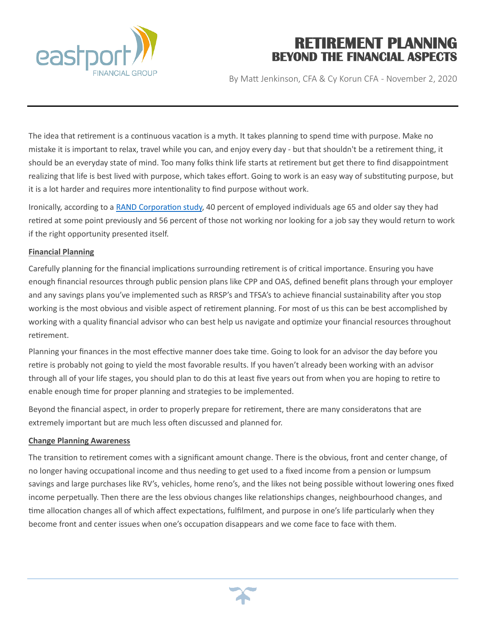

# **RETIREMENT PLANNING BEYOND THE FINANCIAL ASPECTS**

By Matt Jenkinson, CFA & Cy Korun CFA - November 2, 2020

The idea that retirement is a continuous vacation is a myth. It takes planning to spend time with purpose. Make no mistake it is important to relax, travel while you can, and enjoy every day - but that shouldn't be a retirement thing, it should be an everyday state of mind. Too many folks think life starts at retirement but get there to find disappointment realizing that life is best lived with purpose, which takes effort. Going to work is an easy way of substituting purpose, but it is a lot harder and requires more intentionality to find purpose without work.

Ironically, according to a [RAND Corporation study,](about:blank) 40 percent of employed individuals age 65 and older say they had retired at some point previously and 56 percent of those not working nor looking for a job say they would return to work if the right opportunity presented itself.

## **Financial Planning**

Carefully planning for the financial implications surrounding retirement is of critical importance. Ensuring you have enough financial resources through public pension plans like CPP and OAS, defined benefit plans through your employer and any savings plans you've implemented such as RRSP's and TFSA's to achieve financial sustainability after you stop working is the most obvious and visible aspect of retirement planning. For most of us this can be best accomplished by working with a quality financial advisor who can best help us navigate and optimize your financial resources throughout retirement.

Planning your finances in the most effective manner does take time. Going to look for an advisor the day before you retire is probably not going to yield the most favorable results. If you haven't already been working with an advisor through all of your life stages, you should plan to do this at least five years out from when you are hoping to retire to enable enough time for proper planning and strategies to be implemented.

Beyond the financial aspect, in order to properly prepare for retirement, there are many consideratons that are extremely important but are much less often discussed and planned for.

#### **Change Planning Awareness**

The transition to retirement comes with a significant amount change. There is the obvious, front and center change, of no longer having occupational income and thus needing to get used to a fixed income from a pension or lumpsum savings and large purchases like RV's, vehicles, home reno's, and the likes not being possible without lowering ones fixed income perpetually. Then there are the less obvious changes like relationships changes, neighbourhood changes, and time allocation changes all of which affect expectations, fulfilment, and purpose in one's life particularly when they become front and center issues when one's occupation disappears and we come face to face with them.